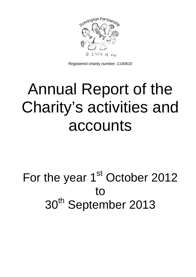

Registered charity number: 1140610

# Annual Report of the Charity's activities and accounts

# For the year 1<sup>st</sup> October 2012 to 30<sup>th</sup> September 2013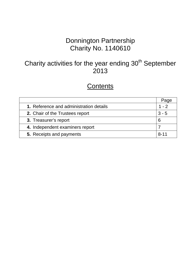## Donnington Partnership Charity No. 1140610

# Charity activities for the year ending 30<sup>th</sup> September 2013

## **Contents**

|                                         | Page     |
|-----------------------------------------|----------|
| 1. Reference and administration details | $1 - 2$  |
| 2. Chair of the Trustees report         | $3 - 5$  |
| 3. Treasurer's report                   | 6        |
| 4. Independent examiners report         |          |
| 5. Receipts and payments                | $R - 11$ |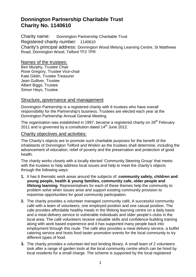#### **Donnington Partnership Charitable Trust Charity No. 1140610**

Charity name: Donnington Partnership Charitable Trust Registered charity number: 1140610 Charity's principal address: Donnington Wood lifelong Learning Centre, St Matthews Road, Donnington Wood, Telford TF2 7PR

Names of the trustees:

Ben Murphy, Trustee Chair Rose Gregory, Trustee Vice-chair Kate Giblin, Trustee Treasurer Jean Gulliver, Trustee Albert Biggs, Trustee Simon Heys, Trustee

#### Structure, governance and management

Donnington Partnership is a registered charity with 6 trustees who have overall responsibility for the Partnership's business. Trustees are elected each year at the Donnington Partnership Annual General Meeting.

The organisation was established in 1997, became a registered charity on  $28<sup>th</sup>$  February 2011 and is governed by a constitution dated  $14<sup>th</sup>$  June 2012.

#### Charity objectives and activities:

The Charity's objects are to promote such charitable purposes for the benefit of the inhabitants of Donnington Telford and Wrekin as the trustees shall determine, including the advancement of education, relief of poverty and the preservation and protection of good health.

The charity works closely with a locally elected 'Community Steering Group' that meets with the trustees to help address local issues and help to meet the charity's objects through the following ways:

- **1.** It has 6 thematic work areas around the subjects of: **community safety, children and young people, health & young families, community cafe, older people and lifelong learning**. Representatives for each of these themes help the community to problem solve when issues arise and support existing community provision to maximise opportunities for good community participation.
- **2.** The charity provides a volunteer managed community café; A successful community café with a team of volunteers, one employed position and one casual position. The cafe provides affordable healthy meals in the lifelong learning centre on a daily basis and a meal delivery service to vulnerable individuals and older people's clubs in the local area. The café volunteers receive valuable skills and confidence-building training along with work based experience and it has supported many people back into employment through this route. The café also provides a meal delivery service, a buffet catering service and hosts food taster promotion events for the local community to try different types of food.
- **3.** The charity provides a volunteer-led tool lending library; A small team of 2 volunteers look after a range of garden tools at the local community centre which can be hired by local residents for a small charge. The scheme is supported by the local registered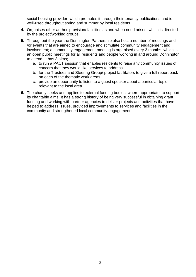social housing provider, which promotes it through their tenancy publications and is well-used throughout spring and summer by local residents.

- **4.** Organises other ad-hoc provision/ facilities as and when need arises, which is directed by the project/working groups.
- **5.** Throughout the year the Donnington Partnership also host a number of meetings and /or events that are aimed to encourage and stimulate community engagement and involvement; a community engagement meeting is organised every 3 months, which is an open public meetings for all residents and people working in and around Donnington to attend. It has 3 aims;
	- a. to run a PACT session that enables residents to raise any community issues of concern that they would like services to address
	- b. for the Trustees and Steering Group/ project facilitators to give a full report back on each of the thematic work areas
	- c. provide an opportunity to listen to a guest speaker about a particular topic relevant to the local area.
- **6.** The charity seeks and applies to external funding bodies, where appropriate, to support its charitable aims. It has a strong history of being very successful in obtaining grant funding and working with partner agencies to deliver projects and activities that have helped to address issues, provided improvements to services and facilities in the community and strengthened local community engagement.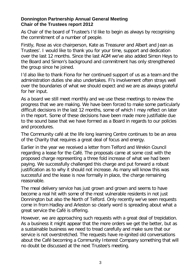#### **Donnington Partnership Annual General Meeting Chair of the Trustees report 2012**

As Chair of the board of Trustee's I'd like to begin as always by recognising the commitment of a number of people.

Firstly, Rose as vice chairperson, Kate as Treasurer and Albert and Jean as Trustees'. I would like to thank you for your time, support and dedication over the last 12 months. Since the last AGM we've also added Simon Heys to the Board and Simon's background and commitment has only strengthened the group since he joined.

I'd also like to thank Fiona for her continued support of us as a team and the administration duties she also undertakes. Fi's involvement often strays well over the boundaries of what we should expect and we are as always grateful for her input.

As a board we still meet monthly and we use these meetings to review the progress that we are making. We have been forced to make some particularly difficult decisions in the last 12 months, some of which I may reflect on later in the report. Some of these decisions have been made more justifiable due to the sound base that we have formed as a Board in regards to our policies and procedures.

The Community café at the life long learning Centre continues to be an area of the Charity that requires a great deal of focus and energy.

Earlier in the year we received a letter from Telford and Wrekin Council regarding a lease for the Café. The proposals came at some cost with the proposed charge representing a three fold increase of what we had been paying. We successfully challenged this charge and put forward a robust justification as to why it should not increase. As many will know this was successful and the lease is now formally in place, the charge remaining reasonable.

The meal delivery service has just grown and grown and seems to have become a real hit with some of the most vulnerable residents in not just Donnington but also the North of Telford. Only recently we've seen requests come in from Hadley and Arleston so clearly word is spreading about what a great service the Café is offering.

However, we are approaching such requests with a great deal of trepidation. As a business it might appear that the more orders we get the better, but as a sustainable business we need to tread carefully and make sure that our service is not overstretched. The requests have re-ignited old conversations about the Café becoming a Community Interest Company something that will no doubt be discussed at the next Trustee's meeting.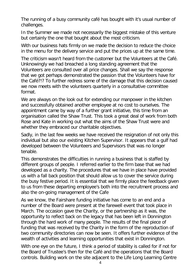The running of a busy community café has bought with it's usual number of challenges.

In the Summer we made not necessarily the biggest mistake of this venture but certainly the one that bought about the most criticism.

With our business hats firmly on we made the decision to reduce the choice in the menu for the delivery service and put the prices up at the same time.

The criticism wasn't heard from the customer but the Volunteers at the Café. Unknowingly we had breached a long standing agreement that the Volunteers are consulted over all price changes. Shall we say the response that we got perhaps demonstrated the passion that the Volunteers have for the Café?!? To further redress some of the damage that this decision caused we now meets with the volunteers quarterly in a consultative committee format.

We are always on the look out for extending our manpower in the kitchen and successfully obtained another employee at no cost to ourselves. The appointment came by way of a further grant initiative, this time from an organisation called the Shaw Trust. This took a great deal of work from both Rose and Kate in working out what the aims of the Shaw Trust were and whether they embraced our charitable objectives.

Sadly, in the last few weeks we have received the resignation of not only this individual but also our existing Kitchen Supervisor. It appears that a gulf had developed between the Volunteers and Supervisors that was no longer tenable.

This demonstrates the difficulties in running a business that is staffed by different groups of people. I referred earlier to the firm base that we had developed as a charity. The procedures that we have in place have provided us with a fall back position that should allow us to cover the service during the busy festive period. It is essential that we firmly place the feedback given to us from these departing employee's both into the recruitment process and also the on-going management of the Cafe

As we know, the Fairshare funding initiative has come to an end and a number of the Board were present at the farewell event that took place in March. The occasion gave the Charity, or the partnership as it was, the opportunity to reflect back on the legacy that has been left in Donnington through the hard work of many people. The results of the final piece of funding that was received by the Charity in the form of the reproduction of two community directories can now be seen. It offers further evidence of the wealth of activities and learning opportunities that exist in Donnington.

With one eye on the future, I think a period of stability is called for if not for the Board of Trustee's then for the Café and the operations that the Board controls. Building work on the site adjacent to the Life Long Learning Centre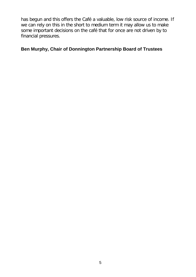has begun and this offers the Café a valuable, low risk source of income. If we can rely on this in the short to medium term it may allow us to make some important decisions on the café that for once are not driven by to financial pressures.

#### **Ben Murphy, Chair of Donnington Partnership Board of Trustees**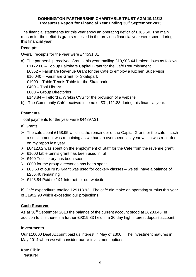#### **DONNINGTON PARTNERSHIP CHARITABLE TRUST AGM 19/11/13 Treasurers Report for Financial Year Ending 30th September 2013**

The financial statements for this year show an operating deficit of £365.50. The main reason for the deficit is grants received in the previous financial year were spent during this financial year.

#### **Receipts**

Overall receipts for the year were £44531.81

a) The partnership received Grants this year totalling £19,908.44 broken down as follows £1172.60 – Top up Fairshare Capital Grant for the Café Refurbishment £6352 – Fairshare Revenue Grant for the Café to employ a Kitchen Supervisor £10,040 – Fairshare Grant for Skatepark £1000 – Table Tennis Table for the Skatepark £400 – Tool Library £800 – Group Directories £143.84 – Telford & Wrekin CVS for the provision of a website b) The Community Café received income of £31,111.83 during this financial year.

#### **Payments**

Total payments for the year were £44897.31

- a) Grants
- $\triangleright$  The café spent £158.95 which is the remainder of the Capital Grant for the café such a small amount was remaining as we had an overspend last year which was recorded on my report last year.
- £8412.02 was spent on the employment of Staff for the Café from the revenue grant
- $\triangleright$  £1000 table tennis grant has been used in full
- $\geq$  £400 Tool library has been spent
- $\geqslant$  £800 for the group directories has been spent
- £83.63 of our NHS Grant was used for cookery classes we still have a balance of £256.40 remaining
- £143.84 Paid to 1&1 Internet for our website

b) Café expenditure totalled £29118.93. The café did make an operating surplus this year of £1992.90 which exceeded our projections.

#### **Cash Reserves**

As at 30<sup>th</sup> September 2013 the balance of the current account stood at £6233.46 In addition to this there is a further £9019.83 held in a 30 day high interest deposit account.

#### **Investments**

Our £10000 Deal Account paid us interest in May of £300 . The investment matures in May 2014 when we will consider our re-investment options.

Kate Giblin **Treasurer**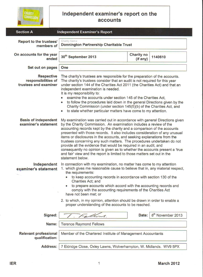

#### **Independent examiner's report on the accounts**

| <b>Section A</b>                                                  | <b>Independent Examiner's Report</b>                                                                                                                                                                                                                                                                                                                                                                                                                                                                                                                                                                                                                                                                                |                                                                    |                               |  |
|-------------------------------------------------------------------|---------------------------------------------------------------------------------------------------------------------------------------------------------------------------------------------------------------------------------------------------------------------------------------------------------------------------------------------------------------------------------------------------------------------------------------------------------------------------------------------------------------------------------------------------------------------------------------------------------------------------------------------------------------------------------------------------------------------|--------------------------------------------------------------------|-------------------------------|--|
| Report to the trustees/<br>members of                             | <b>Charity Name</b><br><b>Donnington Partnership Charitable Trust</b>                                                                                                                                                                                                                                                                                                                                                                                                                                                                                                                                                                                                                                               |                                                                    |                               |  |
| On accounts for the year<br>ended                                 | <b>Charity no</b><br>30 <sup>th</sup> September 2013<br>1140610<br>(if any)                                                                                                                                                                                                                                                                                                                                                                                                                                                                                                                                                                                                                                         |                                                                    |                               |  |
| Set out on pages                                                  | One                                                                                                                                                                                                                                                                                                                                                                                                                                                                                                                                                                                                                                                                                                                 |                                                                    |                               |  |
| <b>Respective</b><br>responsibilities of<br>trustees and examiner | The charity's trustees are responsible for the preparation of the accounts.<br>The charity's trustees consider that an audit is not required for this year<br>under section 144 of the Charities Act 2011 (the Charities Act) and that an<br>independent examination is needed.<br>It is my responsibility to:<br>examine the accounts under section 145 of the Charities Act,<br>to follow the procedures laid down in the general Directions given by the<br>۰<br>Charity Commission (under section 145(5)(b) of the Charities Act, and<br>to state whether particular matters have come to my attention.<br>$\bullet$                                                                                            |                                                                    |                               |  |
| <b>Basis of independent</b><br>examiner's statement               | My examination was carried out in accordance with general Directions given<br>by the Charity Commission. An examination includes a review of the<br>accounting records kept by the charity and a comparison of the accounts<br>presented with those records. It also includes consideration of any unusual<br>items or disclosures in the accounts, and seeking explanations from the<br>trustees concerning any such matters. The procedures undertaken do not<br>provide all the evidence that would be required in an audit, and<br>consequently no opinion is given as to whether the accounts present a 'true'<br>and fair' view and the report is limited to those matters set out in the<br>statement below. |                                                                    |                               |  |
| Independent<br>examiner's statement                               | In connection with my examination, no matter has come to my attention<br>1. which gives me reasonable cause to believe that in, any material respect,<br>the requirements:<br>to keep accounting records in accordance with section 130 of the<br>Charities Act; and<br>to prepare accounts which accord with the accounting records and<br>۰<br>comply with the accounting requirements of the Charities Act<br>have not been met; or<br>2. to which, in my opinion, attention should be drawn in order to enable a<br>proper understanding of the accounts to be reached.                                                                                                                                         |                                                                    |                               |  |
| Signed:                                                           | Fellows.                                                                                                                                                                                                                                                                                                                                                                                                                                                                                                                                                                                                                                                                                                            | Date:                                                              | 8 <sup>th</sup> November 2013 |  |
| Name:                                                             | <b>Terence Raymond Fellows</b>                                                                                                                                                                                                                                                                                                                                                                                                                                                                                                                                                                                                                                                                                      |                                                                    |                               |  |
| <b>Relevant professional</b><br>qualification:                    | Member of the Chartered Institute of Management Accountants                                                                                                                                                                                                                                                                                                                                                                                                                                                                                                                                                                                                                                                         |                                                                    |                               |  |
| <b>Address:</b>                                                   |                                                                                                                                                                                                                                                                                                                                                                                                                                                                                                                                                                                                                                                                                                                     | 7 Eldridge Close, Oxley Lawns, Wolverhampton, W. Midlands. WV9 5PX |                               |  |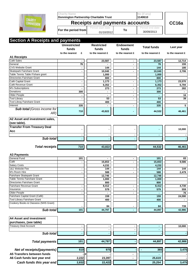|                                            | <b>Charity Name</b><br>Donnington Partnership Charitable Trust |                                 | No (if any)<br>1140610           | CC16a                         |                  |
|--------------------------------------------|----------------------------------------------------------------|---------------------------------|----------------------------------|-------------------------------|------------------|
| <b>CHARITY</b><br><b>COMMISSION</b>        | <b>Receipts and payments accounts</b>                          |                                 |                                  |                               |                  |
|                                            | For the period from                                            | Period start date<br>01/10/2012 | To                               | Period end date<br>30/09/2013 |                  |
| <b>Section A Receipts and payments</b>     |                                                                |                                 |                                  |                               |                  |
|                                            | <b>Unrestricted</b><br>funds                                   | <b>Restricted</b><br>funds      | <b>Endowment</b><br>funds        | <b>Total funds</b>            | Last year        |
| <b>A1 Receipts</b>                         | to the nearest<br>£                                            | to the nearest £                | to the nearest £                 | to the nearest £              | to the nearest £ |
| Café Sales                                 |                                                                | 23,587                          |                                  | 23,587                        | 12,714           |
| General                                    | 76                                                             | $\blacksquare$                  | ٠.                               | 76                            | 155              |
| <b>CVS Website Grant</b>                   | $\blacksquare$                                                 | 144                             | ٠                                | 144                           | 180              |
| Skatepark Fairshare Grant                  |                                                                | 10,040                          |                                  | 10,040                        | 2,706            |
| Table Tennis Table F/share grant           |                                                                | 1,000                           |                                  | 1,000                         |                  |
| Directories Fairshare Grant                |                                                                | 800                             |                                  | 800                           |                  |
| Café Capital Grant                         | $\blacksquare$                                                 | 1,173                           | $\blacksquare$                   | 1,173                         | 23,570           |
| Café Revenue Grant<br>M's Subscriptions    | $\blacksquare$                                                 | 6,352                           | $\blacksquare$                   | 6,352                         | 6,794            |
| Donations                                  | 300                                                            | 273<br>$\blacksquare$           | $\blacksquare$<br>$\blacksquare$ | 273<br>300                    | 282              |
| Older People                               |                                                                | $\blacksquare$                  | ۰.                               |                               | 16               |
| <b>Tool Library</b>                        |                                                                | 53                              | ٠                                | 53                            | 39               |
| <b>Tool Libray Fairshare Grant</b>         |                                                                | 400                             |                                  | 400                           |                  |
| Interest                                   | 335                                                            | $\blacksquare$                  |                                  | 335                           | 5                |
| <b>Sub total (Gross income for</b><br>AR)  | 710                                                            | 43,822                          |                                  | 44,532                        | 46,461           |
| A2 Asset and investment sales,             |                                                                |                                 |                                  |                               |                  |
| (see table).                               |                                                                |                                 |                                  |                               |                  |
| <b>Transfer From Treasury Deal</b>         |                                                                |                                 |                                  |                               | 10,000           |
| <b>Acc</b>                                 |                                                                |                                 |                                  |                               |                  |
| Sub total                                  |                                                                |                                 |                                  |                               |                  |
|                                            |                                                                |                                 |                                  |                               |                  |
| <b>Total receipts</b>                      | 710                                                            | 43,822                          |                                  | 44,532                        | 46,461           |
| <b>A3 Payments</b>                         |                                                                |                                 |                                  |                               |                  |
| General Fund                               | 101                                                            |                                 |                                  | 101                           | 83               |
| Café                                       |                                                                | 15,653                          | ۰                                | 15,653                        | 9,586            |
| <b>Salary Costs</b>                        |                                                                | 4,232                           |                                  | 4,232                         |                  |
| 1&1 Website Fee                            | ٠                                                              | 144                             | ٠                                | 144                           | 144              |
| M's Room Hire<br>Fairshare Skatepark Grant |                                                                | 588<br>12,746                   | ۰                                | 588                           | 2,479            |
| Table Tennis Fairshare Grant               |                                                                | 1,000                           |                                  | 12,746<br>1,000               |                  |
| Directories Fairshare Grant                |                                                                | 800                             |                                  | 800                           |                  |
| <b>Fairshare Revenue Grant</b>             |                                                                | 8,412                           | $\blacksquare$                   | 8,412                         | 4,730            |
| Insurance                                  |                                                                | 579                             | ۰                                | 579                           | 559              |
| Older People                               |                                                                |                                 | ٠                                |                               | 76               |
| Fairshare Capital Grant (Café)             |                                                                | 159                             |                                  | 159                           | 24,590           |
| <b>Tool Library Fairshare Grant</b>        |                                                                | 400                             |                                  | 400                           |                  |
| Cookery Books & Classess (NHS Grant)       |                                                                | 84                              |                                  | 84                            | 739              |
| Sub total                                  | 101                                                            | 44,797                          |                                  | 44,897                        | 42,986           |
| <b>A4 Asset and investment</b>             |                                                                |                                 |                                  |                               |                  |
| purchases, (see table)                     |                                                                |                                 |                                  |                               |                  |
| <b>Treasury Deal Account</b>               | ٠                                                              |                                 |                                  |                               | 10,000           |
| Sub total                                  | $\blacksquare$                                                 |                                 |                                  |                               |                  |
| <b>Total payments</b>                      | 101                                                            | 44,797                          |                                  | 44,897                        | 42,986           |
| Net of receipts/(payments)                 | 610                                                            | 975                             |                                  | 365                           | 3,475            |
| A5 Transfers between funds                 | #                                                              |                                 |                                  |                               |                  |
| A6 Cash funds last year end                | 2,222                                                          | 23,397                          |                                  | 25,619                        |                  |
| Cash funds this year end                   | 2,832                                                          | 22,422                          |                                  | 25,254                        | 3,475            |
|                                            |                                                                |                                 |                                  |                               |                  |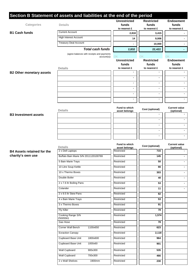| Categories                        | Section B Statement of assets and liabilities at the end of the period<br><b>Details</b> | <b>Unrestricted</b><br>funds<br>to nearest £ | <b>Restricted</b><br>funds<br>to nearest £ | <b>Endowment</b><br>funds<br>to nearest £ |
|-----------------------------------|------------------------------------------------------------------------------------------|----------------------------------------------|--------------------------------------------|-------------------------------------------|
| <b>B1 Cash funds</b>              | <b>Current Account</b>                                                                   | 2,818                                        | 3,415                                      |                                           |
|                                   | <b>High Interest Account</b>                                                             | 14                                           | 9,006                                      |                                           |
|                                   | <b>Treasury Deal Account</b>                                                             |                                              | 10,000                                     |                                           |
|                                   | <b>Total cash funds</b>                                                                  | 2,832                                        | 22,422                                     |                                           |
|                                   | (agree balances with receipts and payments                                               |                                              |                                            |                                           |
|                                   | $account(s)$ )                                                                           | 0K<br><b>Unrestricted</b>                    | OK<br><b>Restricted</b>                    | OK<br><b>Endowment</b>                    |
|                                   |                                                                                          | funds                                        | funds                                      | funds                                     |
|                                   | <b>Details</b>                                                                           | to nearest £                                 | to nearest £                               | to nearest £                              |
| <b>B2 Other monetary assets</b>   |                                                                                          |                                              | $\blacksquare$                             |                                           |
|                                   |                                                                                          | ٠                                            |                                            | ٠                                         |
|                                   |                                                                                          | ٠                                            |                                            |                                           |
|                                   |                                                                                          | ٠                                            | $\blacksquare$                             | ٠                                         |
|                                   |                                                                                          | ٠                                            |                                            |                                           |
|                                   |                                                                                          |                                              |                                            |                                           |
|                                   | <b>Details</b>                                                                           | Fund to which<br>asset belongs               | Cost (optional)                            | <b>Current value</b><br>(optional)        |
| <b>B3 Investment assets</b>       |                                                                                          |                                              |                                            |                                           |
|                                   |                                                                                          |                                              |                                            |                                           |
|                                   |                                                                                          |                                              | $\blacksquare$                             |                                           |
|                                   |                                                                                          |                                              | ä,                                         |                                           |
|                                   |                                                                                          |                                              | $\blacksquare$                             | ٠                                         |
|                                   | <b>Details</b>                                                                           | Fund to which<br>asset belongs               | Cost (optional)                            | <b>Current value</b><br>(optional)        |
| <b>B4 Assets retained for the</b> | 2 x Dell Laptops                                                                         | Restricted                                   | 715                                        |                                           |
| charity's own use                 | Buffalo Bain Marie S/N 2011120100769                                                     | Restricted                                   | 145                                        |                                           |
|                                   | 5 Bain Marie Trays                                                                       | Restricted                                   | 50                                         |                                           |
|                                   | 10 Litre Soup Kettle                                                                     | Restricted                                   | 66                                         | ۰.                                        |
|                                   | 10 x Thermo Boxes                                                                        | Restricted                                   | 303                                        | ۰.                                        |
|                                   | Double Boiler                                                                            | Restricted                                   | 40                                         | ۰                                         |
|                                   | 2 x 7.6 ltr Boiling Pans                                                                 | Restricted                                   | 53                                         | $\sim$                                    |
|                                   | Colander                                                                                 | Restricted                                   | 11                                         | $\sim$                                    |
|                                   | 2 x 9.5 ltr Stew Pans                                                                    | Restricted                                   | 82                                         |                                           |
|                                   | 4 x Bain Marie Trays                                                                     | Restricted                                   | 53                                         |                                           |
|                                   | 3 x Thermo Boxes                                                                         | Restricted                                   | 91                                         |                                           |
|                                   | <b>Fly Killer</b>                                                                        | Restricted                                   | 78                                         |                                           |
|                                   | Cooking Range S/N                                                                        | Restricted                                   | 1,574                                      |                                           |
|                                   | 25005561<br>Gas Hose                                                                     | Restricted                                   | 78                                         |                                           |
|                                   | Corner Wall Bench<br>1100x650                                                            | Restricted                                   | 623                                        |                                           |
|                                   | <b>Exraction Canopy</b>                                                                  | Restricted                                   | 2,118                                      |                                           |
|                                   | Cupboard Base Unit<br>1800x600                                                           | Restricted                                   | 964                                        |                                           |
|                                   | Cupboard Base Unit<br>1000x60                                                            | Restricted                                   | 901                                        |                                           |
|                                   | Wall Cupboard                                                                            |                                              | 535                                        |                                           |
|                                   | 900x300                                                                                  | Restricted                                   |                                            |                                           |
|                                   | <b>Wall Cupboard</b><br>700x300                                                          | Restricted                                   | 466                                        |                                           |
|                                   | 2 x Wall Shelves<br>1900mm                                                               | Restricted                                   | 230                                        |                                           |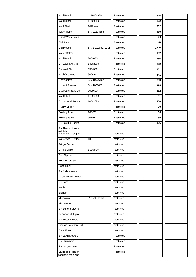| Wall Bench                      | 1900x650             | Restricted | 376   |  |
|---------------------------------|----------------------|------------|-------|--|
| Wall Bench                      | 1140x650             | Restricted | 262   |  |
| <b>Wall Shelf</b>               | 1490mm               | Restricted | 202   |  |
| <b>Water Boiler</b>             | S/N 21204883         | Restricted | 439   |  |
| Hand Wash Basin                 |                      | Restricted | 90    |  |
| Sink Unit                       |                      | Restricted | 1,318 |  |
| Dishwasher                      | S/N BD1068271211     | Restricted | 1,674 |  |
| <b>Water Softner</b>            |                      | Restricted | 102   |  |
| <b>Wall Bench</b>               | 900x650              | Restricted | 256   |  |
| 2 x Wall Shelves                | 1400x300             | Restricted | 202   |  |
| 2 x Wall Shelves                | 550x300              | Restricted | 132   |  |
| <b>Wall Cupboard</b>            | 900mm                | Restricted | 541   |  |
| Refridgerator                   | S/N 10076467         | Restricted | 803   |  |
| <b>Upright Freexer</b>          | S/N 10080821         | Restricted | 834   |  |
| Cupboard Base Unit              | 900x600              | Restricted | 882   |  |
| <b>Wall Shelf</b>               | 1100x300             | Restricted | 91    |  |
| Corner Wall Bench               | 1000x650             | Restricted | 300   |  |
| <b>Husky Chiller</b>            |                      | Restricted | 79    |  |
| <b>Folding Table</b>            | 183x76               | Restricted | 36    |  |
| <b>Folding Table</b>            | 60x60                | Restricted | 30    |  |
| 8 x Folding Chairs              |                      | Restricted | 106   |  |
| 2 x Thermo boxes                |                      |            |       |  |
| with lids<br>Water Urn - Cygnet | 27L                  | restricted |       |  |
| Water Urn - Cygnet              | 18L                  | restricted |       |  |
| Fridge Decca                    |                      | restricted |       |  |
| <b>Drinks Chiller</b>           | <b>Budweiser</b>     | restricted |       |  |
| Can Opener                      |                      | restricted |       |  |
| Food Processor                  |                      | restricted |       |  |
| <b>Food Mixer</b>               |                      | restricted |       |  |
| 2 x 4 slice toaster             |                      | restricted |       |  |
| <b>Dualit Toaster 4slice</b>    |                      | restricted |       |  |
| 3 x Fans                        |                      | restricted |       |  |
| Kettle                          |                      | restricted |       |  |
| <b>Blender</b>                  |                      | restricted |       |  |
| Microwave                       | <b>Russell Hobbs</b> | restricted |       |  |
| Microwave                       |                      | restricted |       |  |
| 2 x Buffet Servers              |                      | restricted |       |  |
| Kenwood Multipro                |                      | restricted |       |  |
| 2 x Tesco Grillers              |                      | restricted |       |  |
| George Foreman Grill            |                      | restricted |       |  |
| Delta Fryer                     |                      | restricted |       |  |
| 3 x Lawn Mowers                 |                      | Restricted |       |  |
| 2 x Strimmers                   |                      | Restricted |       |  |
| 3 x hedge cuters                |                      | Restricted |       |  |
| Large selection of              |                      | Restricted |       |  |
| handheld tools and              |                      |            |       |  |